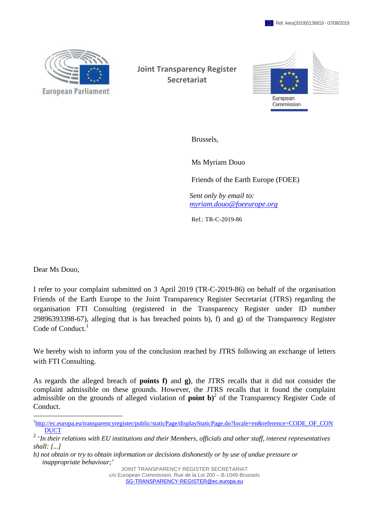

**Joint Transparency Register Secretariat**



Brussels,

Ms Myriam Douo

Friends of the Earth Europe (FOEE)

*Sent only by email to: [myriam.douo@foeeurope.org](mailto:myriam.douo@foeeurope.org)*

Ref.: TR-C-2019-86

Dear Ms Douo,

 $\overline{a}$ 

I refer to your complaint submitted on 3 April 2019 (TR-C-2019-86) on behalf of the organisation Friends of the Earth Europe to the Joint Transparency Register Secretariat (JTRS) regarding the organisation FTI Consulting (registered in the Transparency Register under ID number 29896393398-67), alleging that is has breached points b), f) and g) of the Transparency Register Code of Conduct.<sup>1</sup>

We hereby wish to inform you of the conclusion reached by JTRS following an exchange of letters with FTI Consulting.

As regards the alleged breach of **points f)** and **g)**, the JTRS recalls that it did not consider the complaint admissible on these grounds. However, the JTRS recalls that it found the complaint admissible on the grounds of alleged violation of **point b**)<sup>2</sup> of the Transparency Register Code of Conduct.

JOINT TRANSPARENCY REGISTER SECRETARIAT

c/o European Commission, Rue de la Loi 200 – B-1049 Brussels [SG-TRANSPARENCY-REGISTER@ec.europa.eu](mailto:SG-TRANSPARENCY-REGISTER@ec.europa.eu)

<sup>&</sup>lt;sup>1</sup>[http://ec.europa.eu/transparencyregister/public/staticPage/displayStaticPage.do?locale=en&reference=CODE\\_OF\\_CON](http://ec.europa.eu/transparencyregister/public/staticPage/displayStaticPage.do?locale=en&reference=CODE_OF_CONDUCT) [DUCT](http://ec.europa.eu/transparencyregister/public/staticPage/displayStaticPage.do?locale=en&reference=CODE_OF_CONDUCT)

<sup>2</sup> '*In their relations with EU institutions and their Members, officials and other staff, interest representatives shall: [...]*

*b) not obtain or try to obtain information or decisions dishonestly or by use of undue pressure or inappropriate behaviour;*'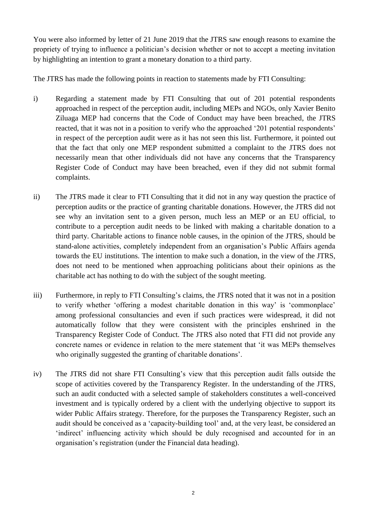You were also informed by letter of 21 June 2019 that the JTRS saw enough reasons to examine the propriety of trying to influence a politician's decision whether or not to accept a meeting invitation by highlighting an intention to grant a monetary donation to a third party.

The JTRS has made the following points in reaction to statements made by FTI Consulting:

- i) Regarding a statement made by FTI Consulting that out of 201 potential respondents approached in respect of the perception audit, including MEPs and NGOs, only Xavier Benito Ziluaga MEP had concerns that the Code of Conduct may have been breached, the JTRS reacted, that it was not in a position to verify who the approached '201 potential respondents' in respect of the perception audit were as it has not seen this list. Furthermore, it pointed out that the fact that only one MEP respondent submitted a complaint to the JTRS does not necessarily mean that other individuals did not have any concerns that the Transparency Register Code of Conduct may have been breached, even if they did not submit formal complaints.
- ii) The JTRS made it clear to FTI Consulting that it did not in any way question the practice of perception audits or the practice of granting charitable donations. However, the JTRS did not see why an invitation sent to a given person, much less an MEP or an EU official, to contribute to a perception audit needs to be linked with making a charitable donation to a third party. Charitable actions to finance noble causes, in the opinion of the JTRS, should be stand-alone activities, completely independent from an organisation's Public Affairs agenda towards the EU institutions. The intention to make such a donation, in the view of the JTRS, does not need to be mentioned when approaching politicians about their opinions as the charitable act has nothing to do with the subject of the sought meeting.
- iii) Furthermore, in reply to FTI Consulting's claims, the JTRS noted that it was not in a position to verify whether 'offering a modest charitable donation in this way' is 'commonplace' among professional consultancies and even if such practices were widespread, it did not automatically follow that they were consistent with the principles enshrined in the Transparency Register Code of Conduct. The JTRS also noted that FTI did not provide any concrete names or evidence in relation to the mere statement that 'it was MEPs themselves who originally suggested the granting of charitable donations'.
- iv) The JTRS did not share FTI Consulting's view that this perception audit falls outside the scope of activities covered by the Transparency Register. In the understanding of the JTRS, such an audit conducted with a selected sample of stakeholders constitutes a well-conceived investment and is typically ordered by a client with the underlying objective to support its wider Public Affairs strategy. Therefore, for the purposes the Transparency Register, such an audit should be conceived as a 'capacity-building tool' and, at the very least, be considered an 'indirect' influencing activity which should be duly recognised and accounted for in an organisation's registration (under the Financial data heading).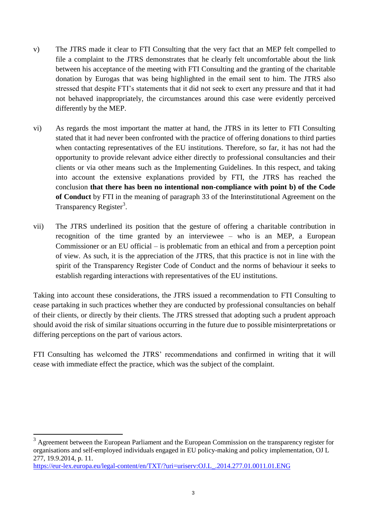- v) The JTRS made it clear to FTI Consulting that the very fact that an MEP felt compelled to file a complaint to the JTRS demonstrates that he clearly felt uncomfortable about the link between his acceptance of the meeting with FTI Consulting and the granting of the charitable donation by Eurogas that was being highlighted in the email sent to him. The JTRS also stressed that despite FTI's statements that it did not seek to exert any pressure and that it had not behaved inappropriately, the circumstances around this case were evidently perceived differently by the MEP.
- vi) As regards the most important the matter at hand, the JTRS in its letter to FTI Consulting stated that it had never been confronted with the practice of offering donations to third parties when contacting representatives of the EU institutions. Therefore, so far, it has not had the opportunity to provide relevant advice either directly to professional consultancies and their clients or via other means such as the Implementing Guidelines. In this respect, and taking into account the extensive explanations provided by FTI, the JTRS has reached the conclusion **that there has been no intentional non-compliance with point b) of the Code of Conduct** by FTI in the meaning of paragraph 33 of the Interinstitutional Agreement on the Transparency Register<sup>3</sup>.
- vii) The JTRS underlined its position that the gesture of offering a charitable contribution in recognition of the time granted by an interviewee – who is an MEP, a European Commissioner or an EU official – is problematic from an ethical and from a perception point of view. As such, it is the appreciation of the JTRS, that this practice is not in line with the spirit of the Transparency Register Code of Conduct and the norms of behaviour it seeks to establish regarding interactions with representatives of the EU institutions.

Taking into account these considerations, the JTRS issued a recommendation to FTI Consulting to cease partaking in such practices whether they are conducted by professional consultancies on behalf of their clients, or directly by their clients. The JTRS stressed that adopting such a prudent approach should avoid the risk of similar situations occurring in the future due to possible misinterpretations or differing perceptions on the part of various actors.

FTI Consulting has welcomed the JTRS' recommendations and confirmed in writing that it will cease with immediate effect the practice, which was the subject of the complaint.

```
https://eur-lex.europa.eu/legal-content/en/TXT/?uri=uriserv:OJ.L_.2014.277.01.0011.01.ENG
```
 $\overline{a}$ 

 $3$  Agreement between the European Parliament and the European Commission on the transparency register for organisations and self-employed individuals engaged in EU policy-making and policy implementation, OJ L 277, 19.9.2014, p. 11.